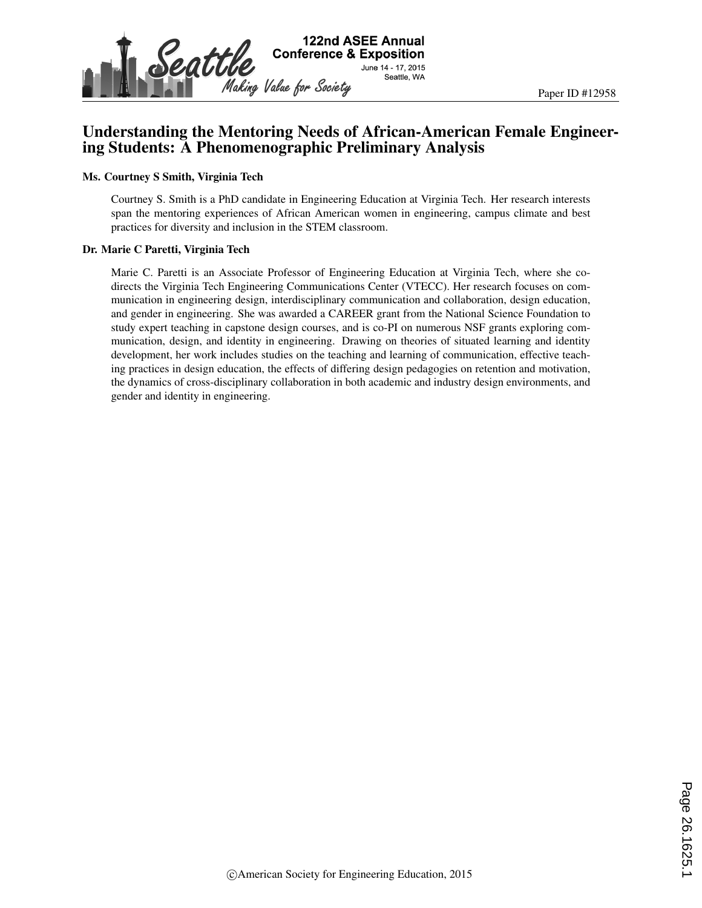

# Understanding the Mentoring Needs of African-American Female Engineering Students: A Phenomenographic Preliminary Analysis

#### Ms. Courtney S Smith, Virginia Tech

Courtney S. Smith is a PhD candidate in Engineering Education at Virginia Tech. Her research interests span the mentoring experiences of African American women in engineering, campus climate and best practices for diversity and inclusion in the STEM classroom.

#### Dr. Marie C Paretti, Virginia Tech

Marie C. Paretti is an Associate Professor of Engineering Education at Virginia Tech, where she codirects the Virginia Tech Engineering Communications Center (VTECC). Her research focuses on communication in engineering design, interdisciplinary communication and collaboration, design education, and gender in engineering. She was awarded a CAREER grant from the National Science Foundation to study expert teaching in capstone design courses, and is co-PI on numerous NSF grants exploring communication, design, and identity in engineering. Drawing on theories of situated learning and identity development, her work includes studies on the teaching and learning of communication, effective teaching practices in design education, the effects of differing design pedagogies on retention and motivation, the dynamics of cross-disciplinary collaboration in both academic and industry design environments, and gender and identity in engineering.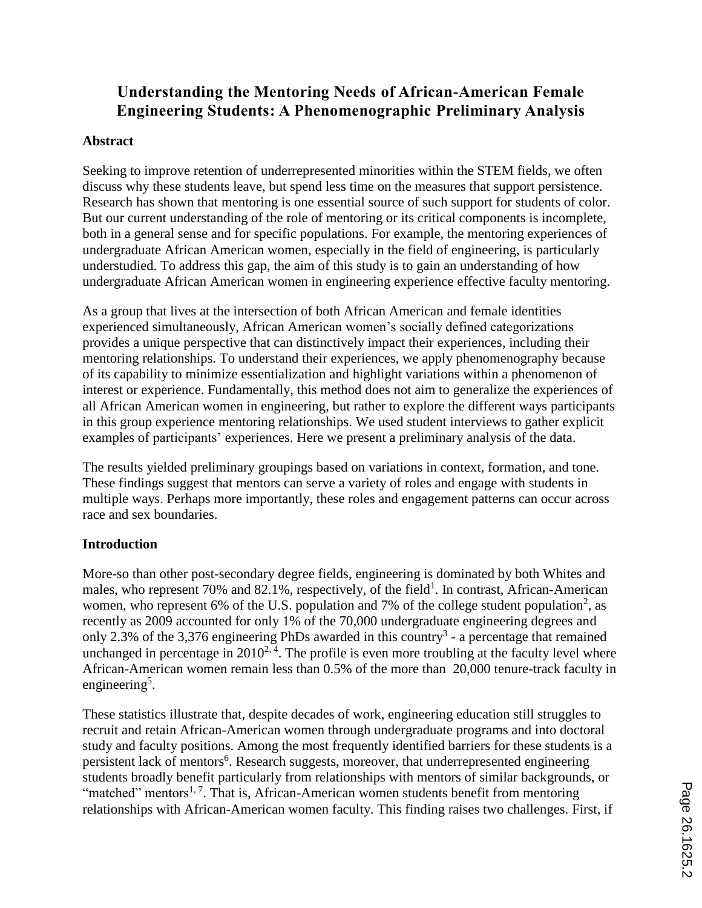# **Understanding the Mentoring Needs of African-American Female Engineering Students: A Phenomenographic Preliminary Analysis**

#### **Abstract**

Seeking to improve retention of underrepresented minorities within the STEM fields, we often discuss why these students leave, but spend less time on the measures that support persistence. Research has shown that mentoring is one essential source of such support for students of color. But our current understanding of the role of mentoring or its critical components is incomplete, both in a general sense and for specific populations. For example, the mentoring experiences of undergraduate African American women, especially in the field of engineering, is particularly understudied. To address this gap, the aim of this study is to gain an understanding of how undergraduate African American women in engineering experience effective faculty mentoring.

As a group that lives at the intersection of both African American and female identities experienced simultaneously, African American women's socially defined categorizations provides a unique perspective that can distinctively impact their experiences, including their mentoring relationships. To understand their experiences, we apply phenomenography because of its capability to minimize essentialization and highlight variations within a phenomenon of interest or experience. Fundamentally, this method does not aim to generalize the experiences of all African American women in engineering, but rather to explore the different ways participants in this group experience mentoring relationships. We used student interviews to gather explicit examples of participants' experiences. Here we present a preliminary analysis of the data.

The results yielded preliminary groupings based on variations in context, formation, and tone. These findings suggest that mentors can serve a variety of roles and engage with students in multiple ways. Perhaps more importantly, these roles and engagement patterns can occur across race and sex boundaries.

## **Introduction**

More-so than other post-secondary degree fields, engineering is dominated by both Whites and males, who represent 70% and 82.1%, respectively, of the field<sup>1</sup>. In contrast, African-American women, who represent 6% of the U.S. population and 7% of the college student population<sup>2</sup>, as recently as 2009 accounted for only 1% of the 70,000 undergraduate engineering degrees and only 2.3% of the 3,376 engineering PhDs awarded in this country<sup>3</sup> - a percentage that remained unchanged in percentage in  $2010^{2.4}$ . The profile is even more troubling at the faculty level where African-American women remain less than 0.5% of the more than 20,000 tenure-track faculty in engineering<sup>5</sup>.

These statistics illustrate that, despite decades of work, engineering education still struggles to recruit and retain African-American women through undergraduate programs and into doctoral study and faculty positions. Among the most frequently identified barriers for these students is a persistent lack of mentors<sup>6</sup>. Research suggests, moreover, that underrepresented engineering students broadly benefit particularly from relationships with mentors of similar backgrounds, or "matched" mentors<sup>1, 7</sup>. That is, African-American women students benefit from mentoring relationships with African-American women faculty. This finding raises two challenges. First, if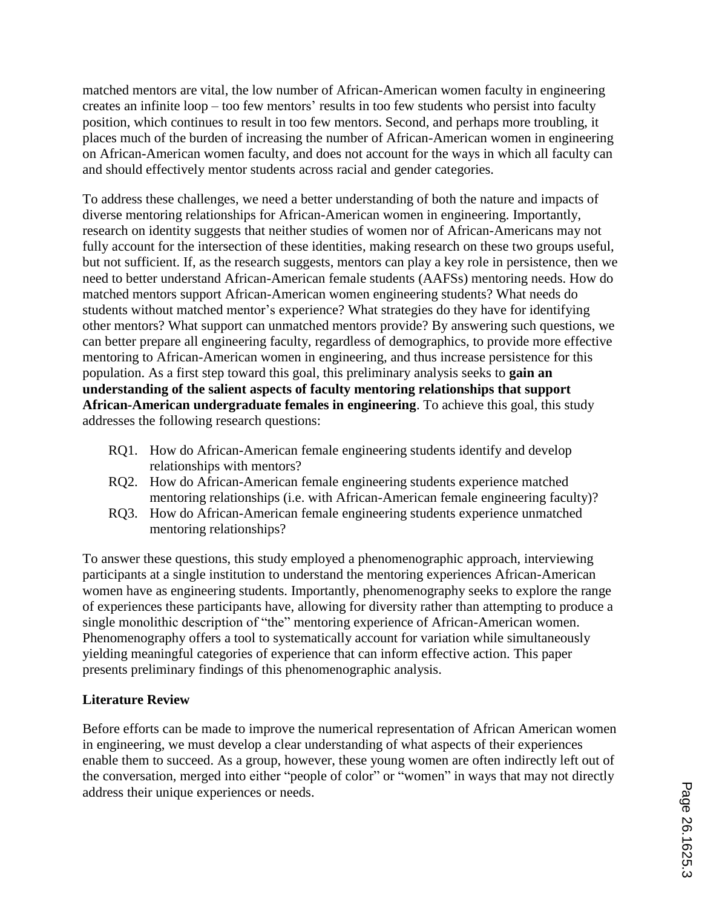matched mentors are vital, the low number of African-American women faculty in engineering creates an infinite loop – too few mentors' results in too few students who persist into faculty position, which continues to result in too few mentors. Second, and perhaps more troubling, it places much of the burden of increasing the number of African-American women in engineering on African-American women faculty, and does not account for the ways in which all faculty can and should effectively mentor students across racial and gender categories.

To address these challenges, we need a better understanding of both the nature and impacts of diverse mentoring relationships for African-American women in engineering. Importantly, research on identity suggests that neither studies of women nor of African-Americans may not fully account for the intersection of these identities, making research on these two groups useful, but not sufficient. If, as the research suggests, mentors can play a key role in persistence, then we need to better understand African-American female students (AAFSs) mentoring needs. How do matched mentors support African-American women engineering students? What needs do students without matched mentor's experience? What strategies do they have for identifying other mentors? What support can unmatched mentors provide? By answering such questions, we can better prepare all engineering faculty, regardless of demographics, to provide more effective mentoring to African-American women in engineering, and thus increase persistence for this population. As a first step toward this goal, this preliminary analysis seeks to **gain an understanding of the salient aspects of faculty mentoring relationships that support African-American undergraduate females in engineering**. To achieve this goal, this study addresses the following research questions:

- RQ1. How do African-American female engineering students identify and develop relationships with mentors?
- RQ2. How do African-American female engineering students experience matched mentoring relationships (i.e. with African-American female engineering faculty)?
- RQ3. How do African-American female engineering students experience unmatched mentoring relationships?

To answer these questions, this study employed a phenomenographic approach, interviewing participants at a single institution to understand the mentoring experiences African-American women have as engineering students. Importantly, phenomenography seeks to explore the range of experiences these participants have, allowing for diversity rather than attempting to produce a single monolithic description of "the" mentoring experience of African-American women. Phenomenography offers a tool to systematically account for variation while simultaneously yielding meaningful categories of experience that can inform effective action. This paper presents preliminary findings of this phenomenographic analysis.

## **Literature Review**

Before efforts can be made to improve the numerical representation of African American women in engineering, we must develop a clear understanding of what aspects of their experiences enable them to succeed. As a group, however, these young women are often indirectly left out of the conversation, merged into either "people of color" or "women" in ways that may not directly address their unique experiences or needs.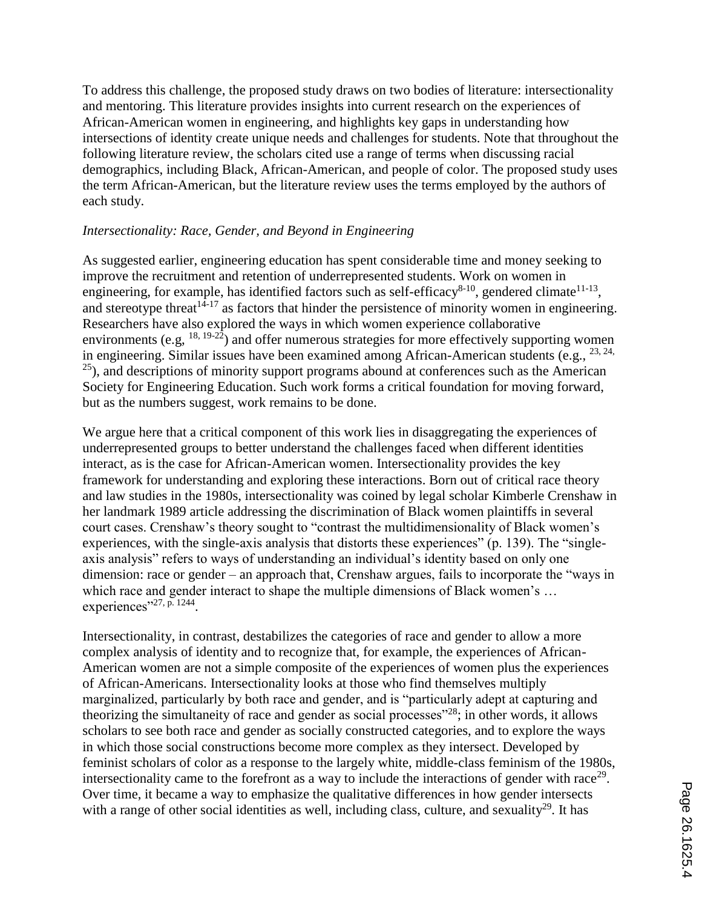To address this challenge, the proposed study draws on two bodies of literature: intersectionality and mentoring. This literature provides insights into current research on the experiences of African-American women in engineering, and highlights key gaps in understanding how intersections of identity create unique needs and challenges for students. Note that throughout the following literature review, the scholars cited use a range of terms when discussing racial demographics, including Black, African-American, and people of color. The proposed study uses the term African-American, but the literature review uses the terms employed by the authors of each study.

#### *Intersectionality: Race, Gender, and Beyond in Engineering*

As suggested earlier, engineering education has spent considerable time and money seeking to improve the recruitment and retention of underrepresented students. Work on women in engineering, for example, has identified factors such as self-efficacy<sup>8-10</sup>, gendered climate<sup>11-13</sup>, and stereotype threat  $1^{4-17}$  as factors that hinder the persistence of minority women in engineering. Researchers have also explored the ways in which women experience collaborative environments (e.g,  $^{18, 19-22}$ ) and offer numerous strategies for more effectively supporting women in engineering. Similar issues have been examined among African-American students (e.g., 23, 24,  $^{25}$ ), and descriptions of minority support programs abound at conferences such as the American Society for Engineering Education. Such work forms a critical foundation for moving forward, but as the numbers suggest, work remains to be done.

We argue here that a critical component of this work lies in disaggregating the experiences of underrepresented groups to better understand the challenges faced when different identities interact, as is the case for African-American women. Intersectionality provides the key framework for understanding and exploring these interactions. Born out of critical race theory and law studies in the 1980s, intersectionality was coined by legal scholar Kimberle Crenshaw in her landmark 1989 article addressing the discrimination of Black women plaintiffs in several court cases. Crenshaw's theory sought to "contrast the multidimensionality of Black women's experiences, with the single-axis analysis that distorts these experiences" (p. 139). The "singleaxis analysis" refers to ways of understanding an individual's identity based on only one dimension: race or gender – an approach that, Crenshaw argues, fails to incorporate the "ways in which race and gender interact to shape the multiple dimensions of Black women's ... experiences"<sup>27, p. 1244</sup>.

Intersectionality, in contrast, destabilizes the categories of race and gender to allow a more complex analysis of identity and to recognize that, for example, the experiences of African-American women are not a simple composite of the experiences of women plus the experiences of African-Americans. Intersectionality looks at those who find themselves multiply marginalized, particularly by both race and gender, and is "particularly adept at capturing and theorizing the simultaneity of race and gender as social processes"<sup>28</sup>; in other words, it allows scholars to see both race and gender as socially constructed categories, and to explore the ways in which those social constructions become more complex as they intersect. Developed by feminist scholars of color as a response to the largely white, middle-class feminism of the 1980s, intersectionality came to the forefront as a way to include the interactions of gender with race<sup>29</sup>. Over time, it became a way to emphasize the qualitative differences in how gender intersects with a range of other social identities as well, including class, culture, and sexuality<sup>29</sup>. It has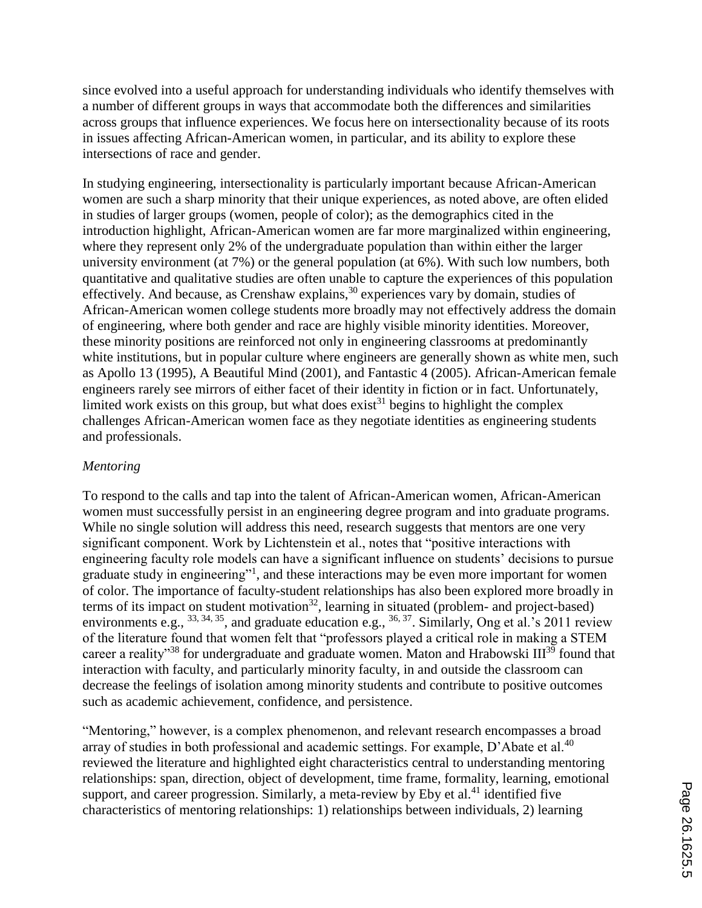since evolved into a useful approach for understanding individuals who identify themselves with a number of different groups in ways that accommodate both the differences and similarities across groups that influence experiences. We focus here on intersectionality because of its roots in issues affecting African-American women, in particular, and its ability to explore these intersections of race and gender.

In studying engineering, intersectionality is particularly important because African-American women are such a sharp minority that their unique experiences, as noted above, are often elided in studies of larger groups (women, people of color); as the demographics cited in the introduction highlight, African-American women are far more marginalized within engineering, where they represent only 2% of the undergraduate population than within either the larger university environment (at 7%) or the general population (at 6%). With such low numbers, both quantitative and qualitative studies are often unable to capture the experiences of this population effectively. And because, as Crenshaw explains,  $30$  experiences vary by domain, studies of African-American women college students more broadly may not effectively address the domain of engineering, where both gender and race are highly visible minority identities. Moreover, these minority positions are reinforced not only in engineering classrooms at predominantly white institutions, but in popular culture where engineers are generally shown as white men, such as Apollo 13 (1995), A Beautiful Mind (2001), and Fantastic 4 (2005). African-American female engineers rarely see mirrors of either facet of their identity in fiction or in fact. Unfortunately, limited work exists on this group, but what does exist<sup>31</sup> begins to highlight the complex challenges African-American women face as they negotiate identities as engineering students and professionals.

#### *Mentoring*

To respond to the calls and tap into the talent of African-American women, African-American women must successfully persist in an engineering degree program and into graduate programs. While no single solution will address this need, research suggests that mentors are one very significant component. Work by Lichtenstein et al., notes that "positive interactions with engineering faculty role models can have a significant influence on students' decisions to pursue graduate study in engineering"<sup>1</sup>, and these interactions may be even more important for women of color. The importance of faculty-student relationships has also been explored more broadly in terms of its impact on student motivation<sup>32</sup>, learning in situated (problem- and project-based) environments e.g.,  $^{33, 34, 35}$ , and graduate education e.g.,  $^{36, 37}$ . Similarly, Ong et al.'s 2011 review of the literature found that women felt that "professors played a critical role in making a STEM career a reality<sup>33</sup> for undergraduate and graduate women. Maton and Hrabowski  $III^{39}$  found that interaction with faculty, and particularly minority faculty, in and outside the classroom can decrease the feelings of isolation among minority students and contribute to positive outcomes such as academic achievement, confidence, and persistence.

"Mentoring," however, is a complex phenomenon, and relevant research encompasses a broad array of studies in both professional and academic settings. For example, D'Abate et al.<sup>40</sup> reviewed the literature and highlighted eight characteristics central to understanding mentoring relationships: span, direction, object of development, time frame, formality, learning, emotional support, and career progression. Similarly, a meta-review by Eby et al.<sup>41</sup> identified five characteristics of mentoring relationships: 1) relationships between individuals, 2) learning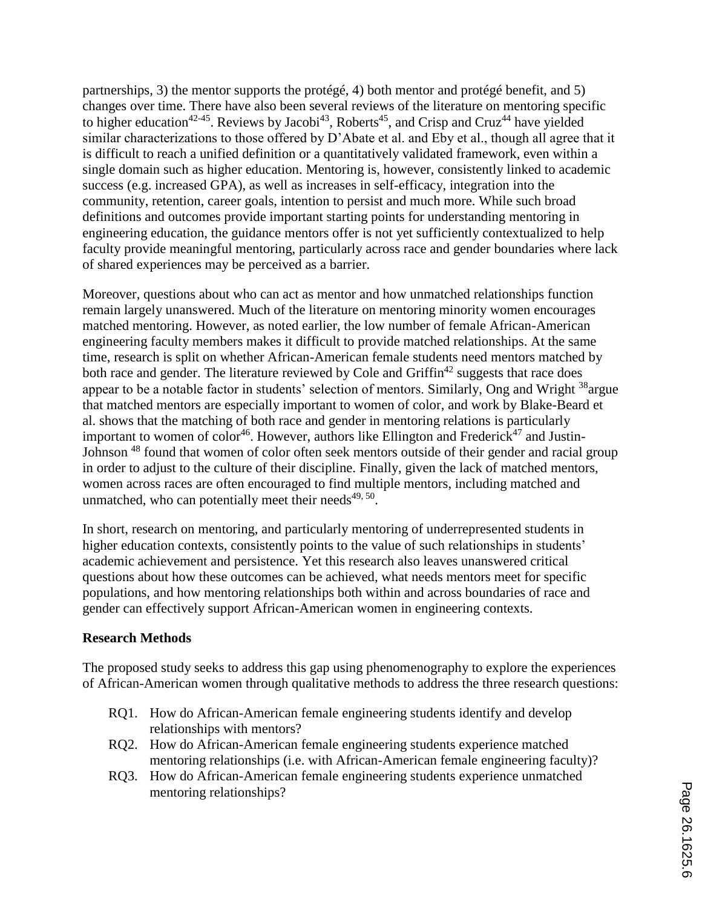partnerships, 3) the mentor supports the protégé, 4) both mentor and protégé benefit, and 5) changes over time. There have also been several reviews of the literature on mentoring specific to higher education<sup>42-45</sup>. Reviews by Jacobi<sup>43</sup>, Roberts<sup>45</sup>, and Crisp and Cruz<sup>44</sup> have yielded similar characterizations to those offered by D'Abate et al. and Eby et al., though all agree that it is difficult to reach a unified definition or a quantitatively validated framework, even within a single domain such as higher education. Mentoring is, however, consistently linked to academic success (e.g. increased GPA), as well as increases in self-efficacy, integration into the community, retention, career goals, intention to persist and much more. While such broad definitions and outcomes provide important starting points for understanding mentoring in engineering education, the guidance mentors offer is not yet sufficiently contextualized to help faculty provide meaningful mentoring, particularly across race and gender boundaries where lack of shared experiences may be perceived as a barrier.

Moreover, questions about who can act as mentor and how unmatched relationships function remain largely unanswered. Much of the literature on mentoring minority women encourages matched mentoring. However, as noted earlier, the low number of female African-American engineering faculty members makes it difficult to provide matched relationships. At the same time, research is split on whether African-American female students need mentors matched by both race and gender. The literature reviewed by Cole and  $\text{Griffin}^{42}$  suggests that race does appear to be a notable factor in students' selection of mentors. Similarly, Ong and Wright <sup>38</sup>argue that matched mentors are especially important to women of color, and work by Blake-Beard et al. shows that the matching of both race and gender in mentoring relations is particularly important to women of color<sup>46</sup>. However, authors like Ellington and Frederick<sup>47</sup> and Justin-Johnson <sup>48</sup> found that women of color often seek mentors outside of their gender and racial group in order to adjust to the culture of their discipline. Finally, given the lack of matched mentors, women across races are often encouraged to find multiple mentors, including matched and unmatched, who can potentially meet their needs $49,50$ .

In short, research on mentoring, and particularly mentoring of underrepresented students in higher education contexts, consistently points to the value of such relationships in students' academic achievement and persistence. Yet this research also leaves unanswered critical questions about how these outcomes can be achieved, what needs mentors meet for specific populations, and how mentoring relationships both within and across boundaries of race and gender can effectively support African-American women in engineering contexts.

## **Research Methods**

The proposed study seeks to address this gap using phenomenography to explore the experiences of African-American women through qualitative methods to address the three research questions:

- RQ1. How do African-American female engineering students identify and develop relationships with mentors?
- RQ2. How do African-American female engineering students experience matched mentoring relationships (i.e. with African-American female engineering faculty)?
- RQ3. How do African-American female engineering students experience unmatched mentoring relationships?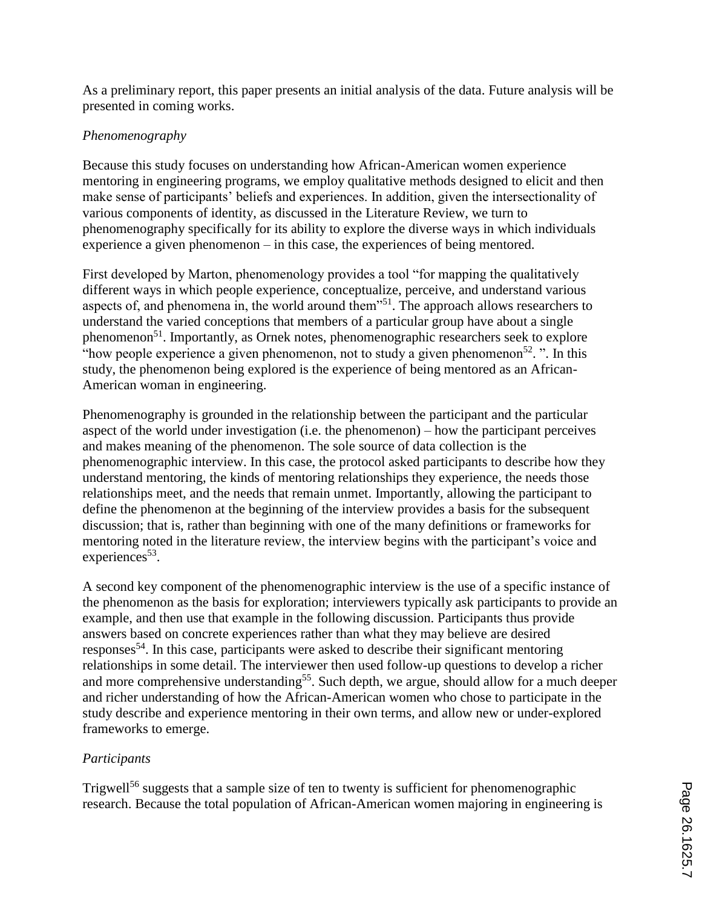As a preliminary report, this paper presents an initial analysis of the data. Future analysis will be presented in coming works.

# *Phenomenography*

Because this study focuses on understanding how African-American women experience mentoring in engineering programs, we employ qualitative methods designed to elicit and then make sense of participants' beliefs and experiences. In addition, given the intersectionality of various components of identity, as discussed in the Literature Review, we turn to phenomenography specifically for its ability to explore the diverse ways in which individuals experience a given phenomenon – in this case, the experiences of being mentored.

First developed by Marton, phenomenology provides a tool "for mapping the qualitatively different ways in which people experience, conceptualize, perceive, and understand various aspects of, and phenomena in, the world around them"<sup>51</sup>. The approach allows researchers to understand the varied conceptions that members of a particular group have about a single phenomenon<sup>51</sup>. Importantly, as Ornek notes, phenomenographic researchers seek to explore "how people experience a given phenomenon, not to study a given phenomenon<sup>52</sup>.". In this study, the phenomenon being explored is the experience of being mentored as an African-American woman in engineering.

Phenomenography is grounded in the relationship between the participant and the particular aspect of the world under investigation (i.e. the phenomenon) – how the participant perceives and makes meaning of the phenomenon. The sole source of data collection is the phenomenographic interview. In this case, the protocol asked participants to describe how they understand mentoring, the kinds of mentoring relationships they experience, the needs those relationships meet, and the needs that remain unmet. Importantly, allowing the participant to define the phenomenon at the beginning of the interview provides a basis for the subsequent discussion; that is, rather than beginning with one of the many definitions or frameworks for mentoring noted in the literature review, the interview begins with the participant's voice and experiences<sup>53</sup>.

A second key component of the phenomenographic interview is the use of a specific instance of the phenomenon as the basis for exploration; interviewers typically ask participants to provide an example, and then use that example in the following discussion. Participants thus provide answers based on concrete experiences rather than what they may believe are desired responses<sup>54</sup>. In this case, participants were asked to describe their significant mentoring relationships in some detail. The interviewer then used follow-up questions to develop a richer and more comprehensive understanding<sup>55</sup>. Such depth, we argue, should allow for a much deeper and richer understanding of how the African-American women who chose to participate in the study describe and experience mentoring in their own terms, and allow new or under-explored frameworks to emerge.

# *Participants*

Trigwell<sup>56</sup> suggests that a sample size of ten to twenty is sufficient for phenomenographic research. Because the total population of African-American women majoring in engineering is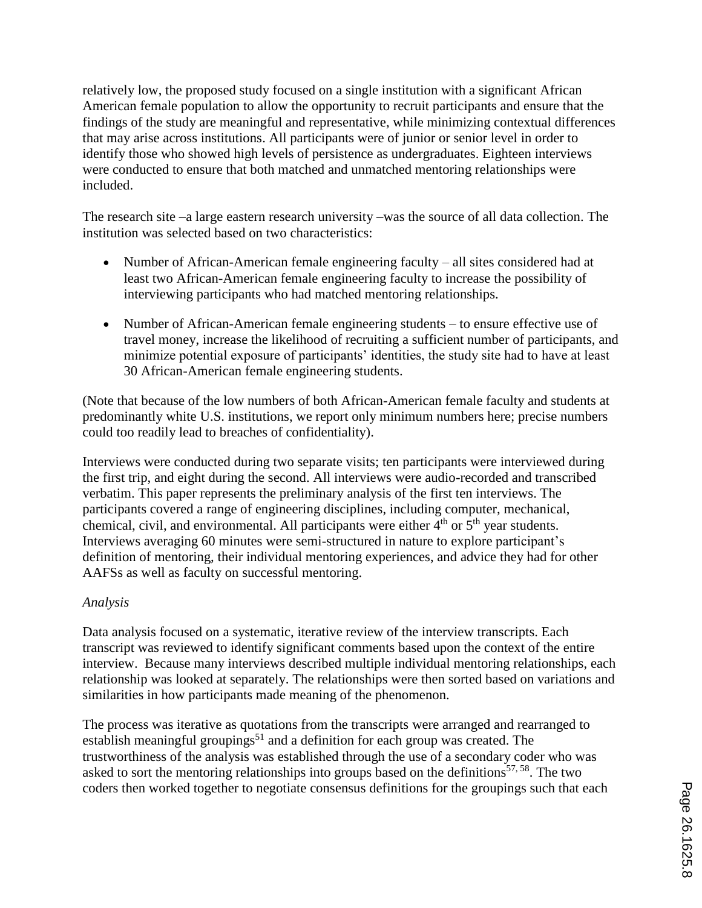relatively low, the proposed study focused on a single institution with a significant African American female population to allow the opportunity to recruit participants and ensure that the findings of the study are meaningful and representative, while minimizing contextual differences that may arise across institutions. All participants were of junior or senior level in order to identify those who showed high levels of persistence as undergraduates. Eighteen interviews were conducted to ensure that both matched and unmatched mentoring relationships were included.

The research site –a large eastern research university –was the source of all data collection. The institution was selected based on two characteristics:

- Number of African-American female engineering faculty all sites considered had at least two African-American female engineering faculty to increase the possibility of interviewing participants who had matched mentoring relationships.
- Number of African-American female engineering students to ensure effective use of travel money, increase the likelihood of recruiting a sufficient number of participants, and minimize potential exposure of participants' identities, the study site had to have at least 30 African-American female engineering students.

(Note that because of the low numbers of both African-American female faculty and students at predominantly white U.S. institutions, we report only minimum numbers here; precise numbers could too readily lead to breaches of confidentiality).

Interviews were conducted during two separate visits; ten participants were interviewed during the first trip, and eight during the second. All interviews were audio-recorded and transcribed verbatim. This paper represents the preliminary analysis of the first ten interviews. The participants covered a range of engineering disciplines, including computer, mechanical, chemical, civil, and environmental. All participants were either  $4<sup>th</sup>$  or  $5<sup>th</sup>$  year students. Interviews averaging 60 minutes were semi-structured in nature to explore participant's definition of mentoring, their individual mentoring experiences, and advice they had for other AAFSs as well as faculty on successful mentoring.

## *Analysis*

Data analysis focused on a systematic, iterative review of the interview transcripts. Each transcript was reviewed to identify significant comments based upon the context of the entire interview. Because many interviews described multiple individual mentoring relationships, each relationship was looked at separately. The relationships were then sorted based on variations and similarities in how participants made meaning of the phenomenon.

The process was iterative as quotations from the transcripts were arranged and rearranged to establish meaningful groupings<sup>51</sup> and a definition for each group was created. The trustworthiness of the analysis was established through the use of a secondary coder who was asked to sort the mentoring relationships into groups based on the definitions<sup>57, 58</sup>. The two coders then worked together to negotiate consensus definitions for the groupings such that each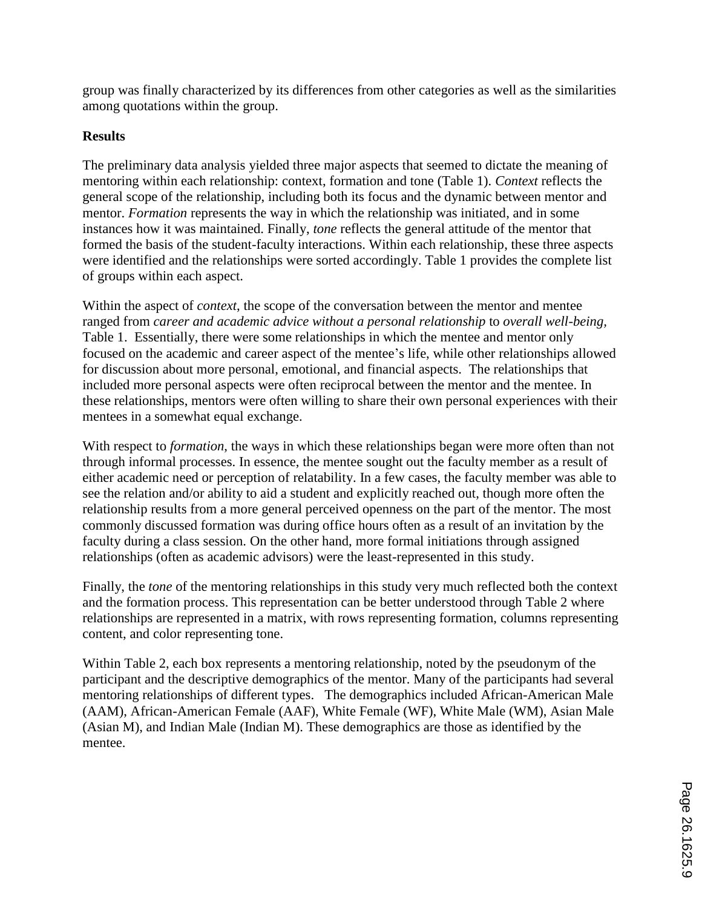group was finally characterized by its differences from other categories as well as the similarities among quotations within the group.

## **Results**

The preliminary data analysis yielded three major aspects that seemed to dictate the meaning of mentoring within each relationship: context, formation and tone (Table 1). *Context* reflects the general scope of the relationship, including both its focus and the dynamic between mentor and mentor. *Formation* represents the way in which the relationship was initiated, and in some instances how it was maintained. Finally, *tone* reflects the general attitude of the mentor that formed the basis of the student-faculty interactions. Within each relationship, these three aspects were identified and the relationships were sorted accordingly. Table 1 provides the complete list of groups within each aspect.

Within the aspect of *context*, the scope of the conversation between the mentor and mentee ranged from *career and academic advice without a personal relationship* to *overall well-being,* Table 1. Essentially, there were some relationships in which the mentee and mentor only focused on the academic and career aspect of the mentee's life, while other relationships allowed for discussion about more personal, emotional, and financial aspects. The relationships that included more personal aspects were often reciprocal between the mentor and the mentee. In these relationships, mentors were often willing to share their own personal experiences with their mentees in a somewhat equal exchange.

With respect to *formation*, the ways in which these relationships began were more often than not through informal processes. In essence, the mentee sought out the faculty member as a result of either academic need or perception of relatability. In a few cases, the faculty member was able to see the relation and/or ability to aid a student and explicitly reached out, though more often the relationship results from a more general perceived openness on the part of the mentor. The most commonly discussed formation was during office hours often as a result of an invitation by the faculty during a class session. On the other hand, more formal initiations through assigned relationships (often as academic advisors) were the least-represented in this study.

Finally, the *tone* of the mentoring relationships in this study very much reflected both the context and the formation process. This representation can be better understood through Table 2 where relationships are represented in a matrix, with rows representing formation, columns representing content, and color representing tone.

Within Table 2, each box represents a mentoring relationship, noted by the pseudonym of the participant and the descriptive demographics of the mentor. Many of the participants had several mentoring relationships of different types. The demographics included African-American Male (AAM), African-American Female (AAF), White Female (WF), White Male (WM), Asian Male (Asian M), and Indian Male (Indian M). These demographics are those as identified by the mentee.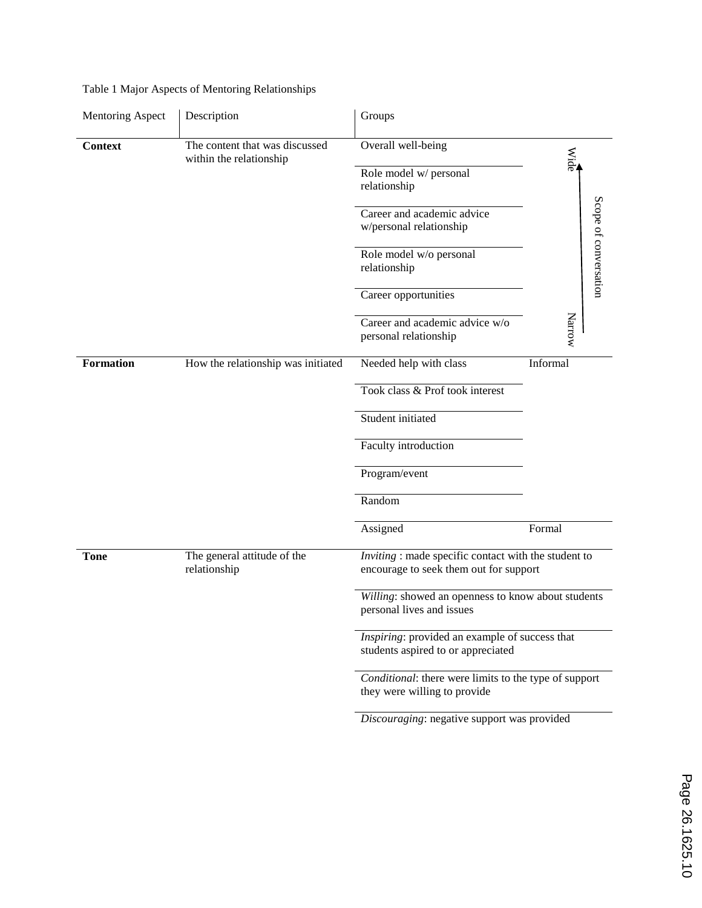| <b>Mentoring Aspect</b> | Description                                               | Groups                                                                                                                               |                       |  |  |
|-------------------------|-----------------------------------------------------------|--------------------------------------------------------------------------------------------------------------------------------------|-----------------------|--|--|
| <b>Context</b>          | The content that was discussed<br>within the relationship | Overall well-being                                                                                                                   | Wide                  |  |  |
|                         |                                                           | Role model w/ personal<br>relationship                                                                                               |                       |  |  |
|                         |                                                           | Career and academic advice<br>w/personal relationship                                                                                |                       |  |  |
|                         |                                                           | Role model w/o personal<br>relationship                                                                                              | Scope of conversation |  |  |
|                         |                                                           | Career opportunities                                                                                                                 |                       |  |  |
|                         |                                                           | Career and academic advice w/o<br>personal relationship                                                                              | Narrow                |  |  |
| <b>Formation</b>        | How the relationship was initiated                        | Needed help with class                                                                                                               | Informal              |  |  |
|                         |                                                           | Took class & Prof took interest                                                                                                      |                       |  |  |
|                         |                                                           | Student initiated                                                                                                                    |                       |  |  |
|                         |                                                           | Faculty introduction                                                                                                                 |                       |  |  |
|                         |                                                           | Program/event                                                                                                                        |                       |  |  |
|                         |                                                           | Random                                                                                                                               |                       |  |  |
|                         |                                                           | Assigned                                                                                                                             | Formal                |  |  |
| <b>Tone</b>             | The general attitude of the<br>relationship               | Inviting : made specific contact with the student to<br>encourage to seek them out for support                                       |                       |  |  |
|                         |                                                           | Willing: showed an openness to know about students<br>personal lives and issues                                                      |                       |  |  |
|                         |                                                           | Inspiring: provided an example of success that<br>students aspired to or appreciated                                                 |                       |  |  |
|                         |                                                           | Conditional: there were limits to the type of support<br>they were willing to provide<br>Discouraging: negative support was provided |                       |  |  |
|                         |                                                           |                                                                                                                                      |                       |  |  |

## Table 1 Major Aspects of Mentoring Relationships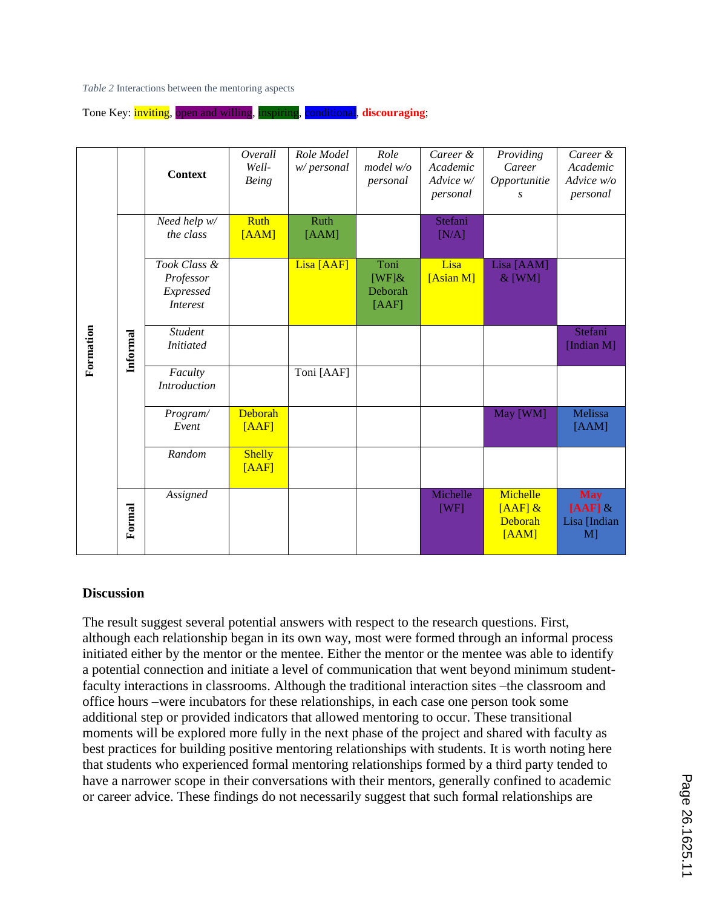*Table 2* Interactions between the mentoring aspects

Tone Key: inviting, open and willing, inspiring, conditional, **discouraging**;

| Formation         |          | <b>Context</b>                                                                                                                                                                                                                                                                                                                                                                                                                                                                                                                                                                                                                                                                                                                                                                                                                                                                                                                                                                                                                                                                                                                                                                                                       | Overall<br>Well-<br><b>Being</b> | Role Model<br>w/personal | Role<br>model w/o<br>personal         | Career &<br>Academic<br>Advice w/<br>personal | Providing<br>Career<br>Opportunitie<br>S  | Career &<br>Academic<br>Advice w/o<br>personal   |  |  |  |
|-------------------|----------|----------------------------------------------------------------------------------------------------------------------------------------------------------------------------------------------------------------------------------------------------------------------------------------------------------------------------------------------------------------------------------------------------------------------------------------------------------------------------------------------------------------------------------------------------------------------------------------------------------------------------------------------------------------------------------------------------------------------------------------------------------------------------------------------------------------------------------------------------------------------------------------------------------------------------------------------------------------------------------------------------------------------------------------------------------------------------------------------------------------------------------------------------------------------------------------------------------------------|----------------------------------|--------------------------|---------------------------------------|-----------------------------------------------|-------------------------------------------|--------------------------------------------------|--|--|--|
|                   |          | Need help w/<br>the class                                                                                                                                                                                                                                                                                                                                                                                                                                                                                                                                                                                                                                                                                                                                                                                                                                                                                                                                                                                                                                                                                                                                                                                            | <b>Ruth</b><br>[AAM]             | <b>Ruth</b><br>[AAM]     |                                       | Stefani<br>[N/A]                              |                                           |                                                  |  |  |  |
|                   |          | Took Class &<br>Professor<br>Expressed<br><b>Interest</b>                                                                                                                                                                                                                                                                                                                                                                                                                                                                                                                                                                                                                                                                                                                                                                                                                                                                                                                                                                                                                                                                                                                                                            |                                  | Lisa [AAF]               | Toni<br>[WF] $\&$<br>Deborah<br>[AAF] | Lisa<br>[Asian M]                             | Lisa [AAM]<br>$&$ [WM]                    |                                                  |  |  |  |
|                   | Informal | Student<br><b>Initiated</b>                                                                                                                                                                                                                                                                                                                                                                                                                                                                                                                                                                                                                                                                                                                                                                                                                                                                                                                                                                                                                                                                                                                                                                                          |                                  |                          |                                       |                                               |                                           | Stefani<br>[Indian M]                            |  |  |  |
|                   |          | Faculty<br><b>Introduction</b>                                                                                                                                                                                                                                                                                                                                                                                                                                                                                                                                                                                                                                                                                                                                                                                                                                                                                                                                                                                                                                                                                                                                                                                       |                                  | Toni [AAF]               |                                       |                                               |                                           |                                                  |  |  |  |
|                   |          | Program/<br>Event                                                                                                                                                                                                                                                                                                                                                                                                                                                                                                                                                                                                                                                                                                                                                                                                                                                                                                                                                                                                                                                                                                                                                                                                    | Deborah<br>[AAF]                 |                          |                                       |                                               | May [WM]                                  | Melissa<br>[AAM]                                 |  |  |  |
|                   |          | Random                                                                                                                                                                                                                                                                                                                                                                                                                                                                                                                                                                                                                                                                                                                                                                                                                                                                                                                                                                                                                                                                                                                                                                                                               | <b>Shelly</b><br>[AAF]           |                          |                                       |                                               |                                           |                                                  |  |  |  |
|                   | Formal   | Assigned                                                                                                                                                                                                                                                                                                                                                                                                                                                                                                                                                                                                                                                                                                                                                                                                                                                                                                                                                                                                                                                                                                                                                                                                             |                                  |                          |                                       | Michelle<br>[WF]                              | Michelle<br>$[AAF]$ &<br>Deborah<br>[AAM] | <b>May</b><br>$[AAF]$ &<br>Lisa [Indian<br>$M$ ] |  |  |  |
| <b>Discussion</b> |          |                                                                                                                                                                                                                                                                                                                                                                                                                                                                                                                                                                                                                                                                                                                                                                                                                                                                                                                                                                                                                                                                                                                                                                                                                      |                                  |                          |                                       |                                               |                                           |                                                  |  |  |  |
|                   |          | The result suggest several potential answers with respect to the research questions. First,<br>although each relationship began in its own way, most were formed through an informal process<br>initiated either by the mentor or the mentee. Either the mentor or the mentee was able to identify<br>a potential connection and initiate a level of communication that went beyond minimum student-<br>faculty interactions in classrooms. Although the traditional interaction sites -the classroom and<br>office hours –were incubators for these relationships, in each case one person took some<br>additional step or provided indicators that allowed mentoring to occur. These transitional<br>moments will be explored more fully in the next phase of the project and shared with faculty as<br>best practices for building positive mentoring relationships with students. It is worth noting here<br>that students who experienced formal mentoring relationships formed by a third party tended to<br>have a narrower scope in their conversations with their mentors, generally confined to academic<br>or career advice. These findings do not necessarily suggest that such formal relationships are |                                  |                          |                                       |                                               |                                           |                                                  |  |  |  |

#### **Discussion**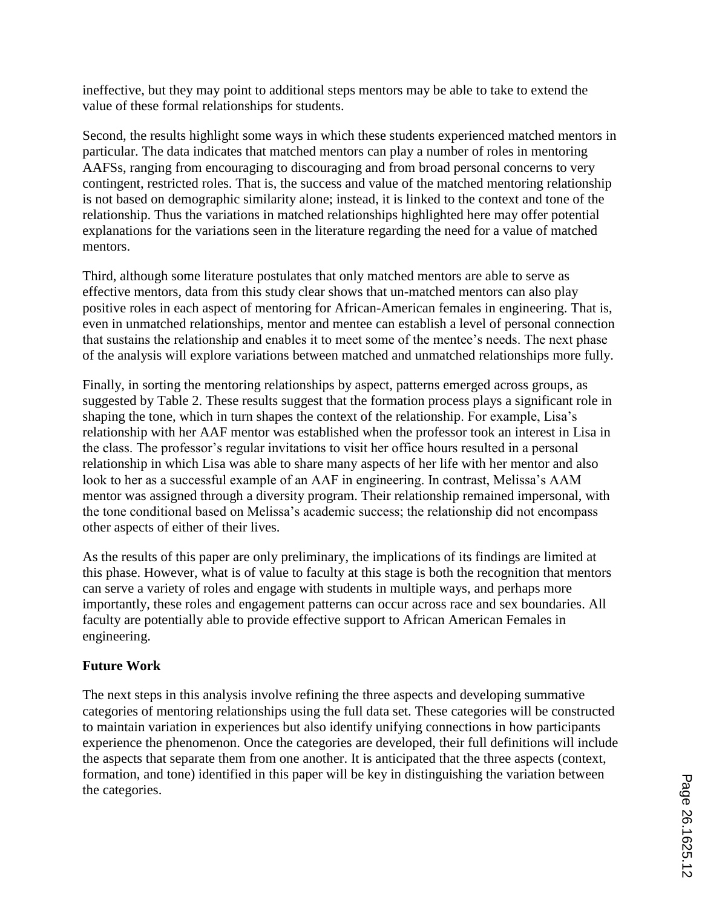ineffective, but they may point to additional steps mentors may be able to take to extend the value of these formal relationships for students.

Second, the results highlight some ways in which these students experienced matched mentors in particular. The data indicates that matched mentors can play a number of roles in mentoring AAFSs, ranging from encouraging to discouraging and from broad personal concerns to very contingent, restricted roles. That is, the success and value of the matched mentoring relationship is not based on demographic similarity alone; instead, it is linked to the context and tone of the relationship. Thus the variations in matched relationships highlighted here may offer potential explanations for the variations seen in the literature regarding the need for a value of matched mentors.

Third, although some literature postulates that only matched mentors are able to serve as effective mentors, data from this study clear shows that un-matched mentors can also play positive roles in each aspect of mentoring for African-American females in engineering. That is, even in unmatched relationships, mentor and mentee can establish a level of personal connection that sustains the relationship and enables it to meet some of the mentee's needs. The next phase of the analysis will explore variations between matched and unmatched relationships more fully.

Finally, in sorting the mentoring relationships by aspect, patterns emerged across groups, as suggested by Table 2. These results suggest that the formation process plays a significant role in shaping the tone, which in turn shapes the context of the relationship. For example, Lisa's relationship with her AAF mentor was established when the professor took an interest in Lisa in the class. The professor's regular invitations to visit her office hours resulted in a personal relationship in which Lisa was able to share many aspects of her life with her mentor and also look to her as a successful example of an AAF in engineering. In contrast, Melissa's AAM mentor was assigned through a diversity program. Their relationship remained impersonal, with the tone conditional based on Melissa's academic success; the relationship did not encompass other aspects of either of their lives.

As the results of this paper are only preliminary, the implications of its findings are limited at this phase. However, what is of value to faculty at this stage is both the recognition that mentors can serve a variety of roles and engage with students in multiple ways, and perhaps more importantly, these roles and engagement patterns can occur across race and sex boundaries. All faculty are potentially able to provide effective support to African American Females in engineering.

## **Future Work**

The next steps in this analysis involve refining the three aspects and developing summative categories of mentoring relationships using the full data set. These categories will be constructed to maintain variation in experiences but also identify unifying connections in how participants experience the phenomenon. Once the categories are developed, their full definitions will include the aspects that separate them from one another. It is anticipated that the three aspects (context, formation, and tone) identified in this paper will be key in distinguishing the variation between the categories.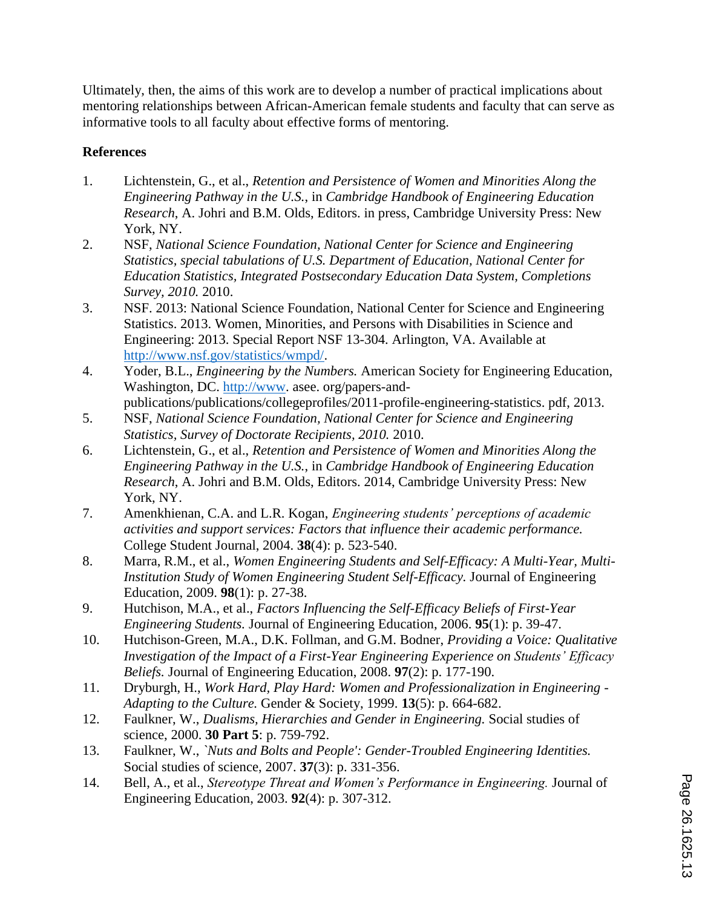Ultimately, then, the aims of this work are to develop a number of practical implications about mentoring relationships between African-American female students and faculty that can serve as informative tools to all faculty about effective forms of mentoring.

# **References**

- 1. Lichtenstein, G., et al., *Retention and Persistence of Women and Minorities Along the Engineering Pathway in the U.S.*, in *Cambridge Handbook of Engineering Education Research*, A. Johri and B.M. Olds, Editors. in press, Cambridge University Press: New York, NY.
- 2. NSF, *National Science Foundation, National Center for Science and Engineering Statistics, special tabulations of U.S. Department of Education, National Center for Education Statistics, Integrated Postsecondary Education Data System, Completions Survey, 2010.* 2010.
- 3. NSF. 2013: National Science Foundation, National Center for Science and Engineering Statistics. 2013. Women, Minorities, and Persons with Disabilities in Science and Engineering: 2013. Special Report NSF 13-304. Arlington, VA. Available at http://www.nsf.gov/statistics/wmpd/.
- 4. Yoder, B.L., *Engineering by the Numbers.* American Society for Engineering Education, Washington, DC. http://www. asee. org/papers-andpublications/publications/collegeprofiles/2011-profile-engineering-statistics. pdf, 2013.
- 5. NSF, *National Science Foundation, National Center for Science and Engineering Statistics, Survey of Doctorate Recipients, 2010.* 2010.
- 6. Lichtenstein, G., et al., *Retention and Persistence of Women and Minorities Along the Engineering Pathway in the U.S.*, in *Cambridge Handbook of Engineering Education Research*, A. Johri and B.M. Olds, Editors. 2014, Cambridge University Press: New York, NY.
- 7. Amenkhienan, C.A. and L.R. Kogan, *Engineering students' perceptions of academic activities and support services: Factors that influence their academic performance.* College Student Journal, 2004. **38**(4): p. 523-540.
- 8. Marra, R.M., et al., *Women Engineering Students and Self-Efficacy: A Multi-Year, Multi-Institution Study of Women Engineering Student Self-Efficacy.* Journal of Engineering Education, 2009. **98**(1): p. 27-38.
- 9. Hutchison, M.A., et al., *Factors Influencing the Self-Efficacy Beliefs of First-Year Engineering Students.* Journal of Engineering Education, 2006. **95**(1): p. 39-47.
- 10. Hutchison-Green, M.A., D.K. Follman, and G.M. Bodner, *Providing a Voice: Qualitative Investigation of the Impact of a First-Year Engineering Experience on Students' Efficacy Beliefs.* Journal of Engineering Education, 2008. **97**(2): p. 177-190.
- 11. Dryburgh, H., *Work Hard, Play Hard: Women and Professionalization in Engineering - Adapting to the Culture.* Gender & Society, 1999. **13**(5): p. 664-682.
- 12. Faulkner, W., *Dualisms, Hierarchies and Gender in Engineering.* Social studies of science, 2000. **30 Part 5**: p. 759-792.
- 13. Faulkner, W., *`Nuts and Bolts and People': Gender-Troubled Engineering Identities.* Social studies of science, 2007. **37**(3): p. 331-356.
- 14. Bell, A., et al., *Stereotype Threat and Women's Performance in Engineering.* Journal of Engineering Education, 2003. **92**(4): p. 307-312.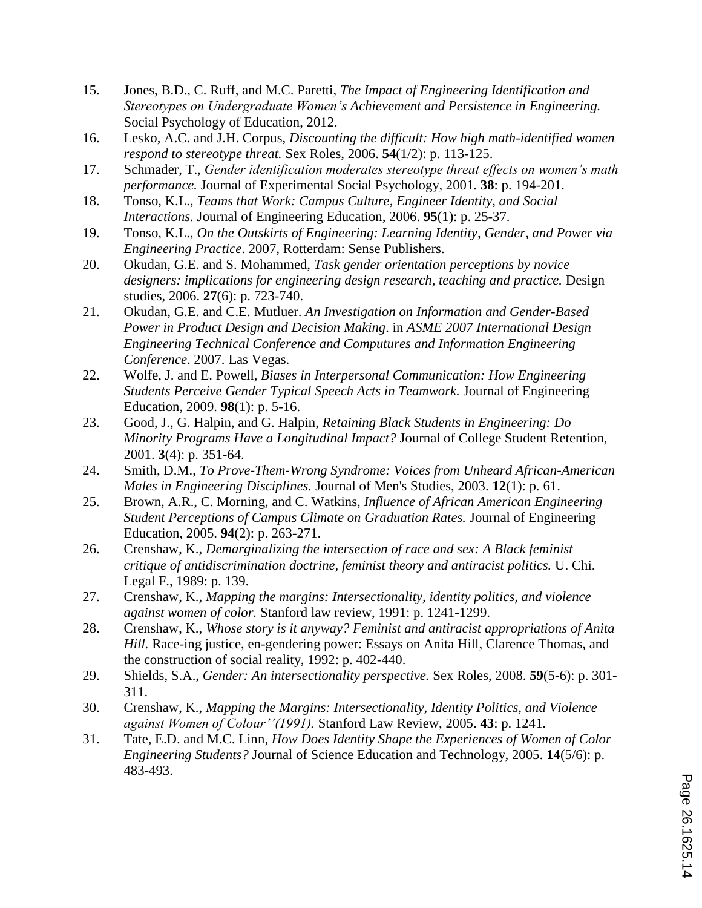- 15. Jones, B.D., C. Ruff, and M.C. Paretti, *The Impact of Engineering Identification and Stereotypes on Undergraduate Women's Achievement and Persistence in Engineering.* Social Psychology of Education, 2012.
- 16. Lesko, A.C. and J.H. Corpus, *Discounting the difficult: How high math-identified women respond to stereotype threat.* Sex Roles, 2006. **54**(1/2): p. 113-125.
- 17. Schmader, T., *Gender identification moderates stereotype threat effects on women's math performance.* Journal of Experimental Social Psychology, 2001. **38**: p. 194-201.
- 18. Tonso, K.L., *Teams that Work: Campus Culture, Engineer Identity, and Social Interactions.* Journal of Engineering Education, 2006. **95**(1): p. 25-37.
- 19. Tonso, K.L., *On the Outskirts of Engineering: Learning Identity, Gender, and Power via Engineering Practice*. 2007, Rotterdam: Sense Publishers.
- 20. Okudan, G.E. and S. Mohammed, *Task gender orientation perceptions by novice designers: implications for engineering design research, teaching and practice.* Design studies, 2006. **27**(6): p. 723-740.
- 21. Okudan, G.E. and C.E. Mutluer. *An Investigation on Information and Gender-Based Power in Product Design and Decision Making*. in *ASME 2007 International Design Engineering Technical Conference and Computures and Information Engineering Conference*. 2007. Las Vegas.
- 22. Wolfe, J. and E. Powell, *Biases in Interpersonal Communication: How Engineering Students Perceive Gender Typical Speech Acts in Teamwork.* Journal of Engineering Education, 2009. **98**(1): p. 5-16.
- 23. Good, J., G. Halpin, and G. Halpin, *Retaining Black Students in Engineering: Do Minority Programs Have a Longitudinal Impact?* Journal of College Student Retention, 2001. **3**(4): p. 351-64.
- 24. Smith, D.M., *To Prove-Them-Wrong Syndrome: Voices from Unheard African-American Males in Engineering Disciplines.* Journal of Men's Studies, 2003. **12**(1): p. 61.
- 25. Brown, A.R., C. Morning, and C. Watkins, *Influence of African American Engineering Student Perceptions of Campus Climate on Graduation Rates.* Journal of Engineering Education, 2005. **94**(2): p. 263-271.
- 26. Crenshaw, K., *Demarginalizing the intersection of race and sex: A Black feminist critique of antidiscrimination doctrine, feminist theory and antiracist politics.* U. Chi. Legal F., 1989: p. 139.
- 27. Crenshaw, K., *Mapping the margins: Intersectionality, identity politics, and violence against women of color.* Stanford law review, 1991: p. 1241-1299.
- 28. Crenshaw, K., *Whose story is it anyway? Feminist and antiracist appropriations of Anita Hill.* Race-ing justice, en-gendering power: Essays on Anita Hill, Clarence Thomas, and the construction of social reality, 1992: p. 402-440.
- 29. Shields, S.A., *Gender: An intersectionality perspective.* Sex Roles, 2008. **59**(5-6): p. 301- 311.
- 30. Crenshaw, K., *Mapping the Margins: Intersectionality, Identity Politics, and Violence against Women of Colour''(1991).* Stanford Law Review, 2005. **43**: p. 1241.
- 31. Tate, E.D. and M.C. Linn, *How Does Identity Shape the Experiences of Women of Color Engineering Students?* Journal of Science Education and Technology, 2005. **14**(5/6): p. 483-493.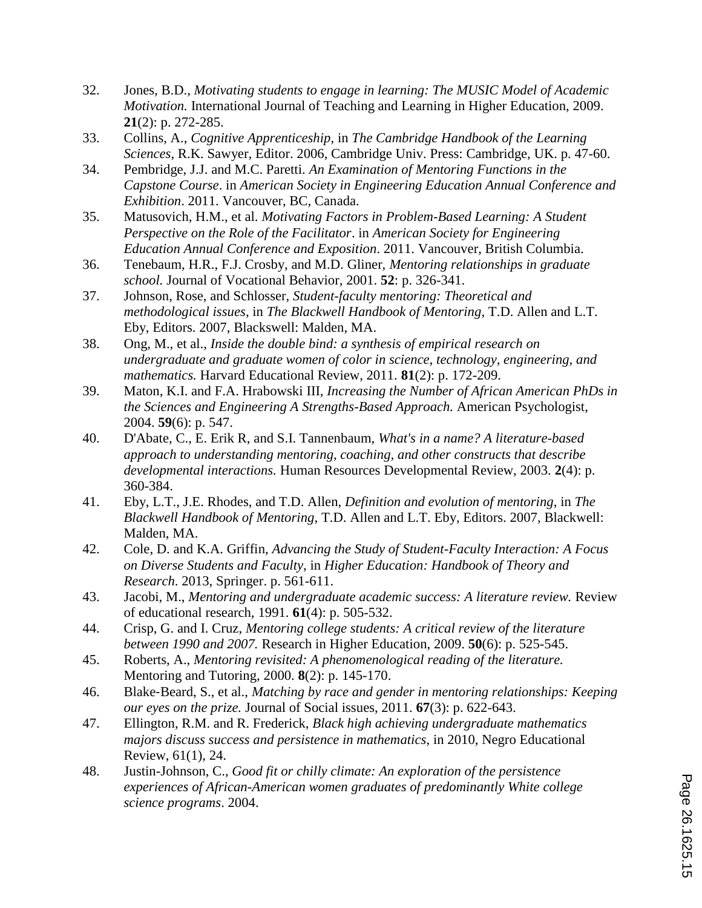- 32. Jones, B.D., *Motivating students to engage in learning: The MUSIC Model of Academic Motivation.* International Journal of Teaching and Learning in Higher Education, 2009. **21**(2): p. 272-285.
- 33. Collins, A., *Cognitive Apprenticeship*, in *The Cambridge Handbook of the Learning Sciences*, R.K. Sawyer, Editor. 2006, Cambridge Univ. Press: Cambridge, UK. p. 47-60.
- 34. Pembridge, J.J. and M.C. Paretti. *An Examination of Mentoring Functions in the Capstone Course*. in *American Society in Engineering Education Annual Conference and Exhibition*. 2011. Vancouver, BC, Canada.
- 35. Matusovich, H.M., et al. *Motivating Factors in Problem-Based Learning: A Student Perspective on the Role of the Facilitator*. in *American Society for Engineering Education Annual Conference and Exposition*. 2011. Vancouver, British Columbia.
- 36. Tenebaum, H.R., F.J. Crosby, and M.D. Gliner, *Mentoring relationships in graduate school.* Journal of Vocational Behavior, 2001. **52**: p. 326-341.
- 37. Johnson, Rose, and Schlosser, *Student-faculty mentoring: Theoretical and methodological issues*, in *The Blackwell Handbook of Mentoring*, T.D. Allen and L.T. Eby, Editors. 2007, Blackswell: Malden, MA.
- 38. Ong, M., et al., *Inside the double bind: a synthesis of empirical research on undergraduate and graduate women of color in science, technology, engineering, and mathematics.* Harvard Educational Review, 2011. **81**(2): p. 172-209.
- 39. Maton, K.I. and F.A. Hrabowski III, *Increasing the Number of African American PhDs in the Sciences and Engineering A Strengths-Based Approach.* American Psychologist, 2004. **59**(6): p. 547.
- 40. D'Abate, C., E. Erik R, and S.I. Tannenbaum, *What's in a name? A literature-based approach to understanding mentoring, coaching, and other constructs that describe developmental interactions.* Human Resources Developmental Review, 2003. **2**(4): p. 360-384.
- 41. Eby, L.T., J.E. Rhodes, and T.D. Allen, *Definition and evolution of mentoring*, in *The Blackwell Handbook of Mentoring*, T.D. Allen and L.T. Eby, Editors. 2007, Blackwell: Malden, MA.
- 42. Cole, D. and K.A. Griffin, *Advancing the Study of Student-Faculty Interaction: A Focus on Diverse Students and Faculty*, in *Higher Education: Handbook of Theory and Research*. 2013, Springer. p. 561-611.
- 43. Jacobi, M., *Mentoring and undergraduate academic success: A literature review.* Review of educational research, 1991. **61**(4): p. 505-532.
- 44. Crisp, G. and I. Cruz, *Mentoring college students: A critical review of the literature between 1990 and 2007.* Research in Higher Education, 2009. **50**(6): p. 525-545.
- 45. Roberts, A., *Mentoring revisited: A phenomenological reading of the literature.* Mentoring and Tutoring, 2000. **8**(2): p. 145-170.
- 46. Blake‐Beard, S., et al., *Matching by race and gender in mentoring relationships: Keeping our eyes on the prize.* Journal of Social issues, 2011. **67**(3): p. 622-643.
- 47. Ellington, R.M. and R. Frederick, *Black high achieving undergraduate mathematics majors discuss success and persistence in mathematics*, in 2010, Negro Educational Review, 61(1), 24.
- 48. Justin-Johnson, C., *Good fit or chilly climate: An exploration of the persistence experiences of African-American women graduates of predominantly White college science programs*. 2004.